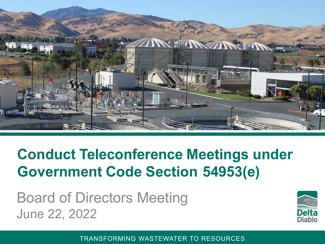

#### **Conduct Teleconference Meetings under Government Code Section 54953(e)**

Board of Directors Meeting June 22, 2022



TRANSFORMING WASTEWATER TO RESOURCES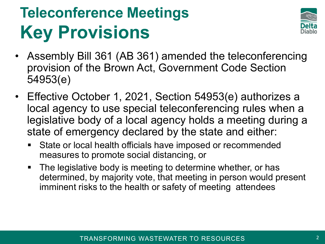# **Teleconference Meetings Key Provisions**



- Assembly Bill 361 (AB 361) amended the teleconferencing provision of the Brown Act, Government Code Section 54953(e)
- Effective October 1, 2021, Section 54953(e) authorizes a local agency to use special teleconferencing rules when a legislative body of a local agency holds a meeting during a state of emergency declared by the state and either:
	- **State or local health officials have imposed or recommended** measures to promote social distancing, or
	- **The legislative body is meeting to determine whether, or has** determined, by majority vote, that meeting in person would present imminent risks to the health or safety of meeting attendees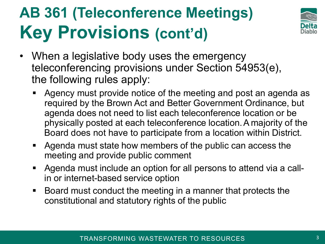# **AB 361 (Teleconference Meetings) Key Provisions (cont'd)**



- When a legislative body uses the emergency teleconferencing provisions under Section 54953(e), the following rules apply:
	- Agency must provide notice of the meeting and post an agenda as required by the Brown Act and Better Government Ordinance, but agenda does not need to list each teleconference location or be physically posted at each teleconference location.A majority of the Board does not have to participate from a location within District.
	- Agenda must state how members of the public can access the meeting and provide public comment
	- Agenda must include an option for all persons to attend via a callin or internet-based service option
	- Board must conduct the meeting in a manner that protects the constitutional and statutory rights of the public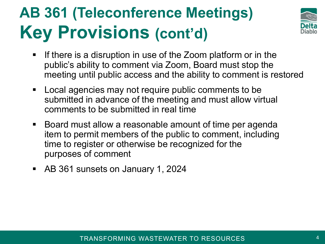### **AB 361 (Teleconference Meetings) Key Provisions (cont'd)**



- If there is a disruption in use of the Zoom platform or in the public's ability to comment via Zoom, Board must stop the meeting until public access and the ability to comment is restored
- Local agencies may not require public comments to be submitted in advance of the meeting and must allow virtual comments to be submitted in real time
- Board must allow a reasonable amount of time per agenda item to permit members of the public to comment, including time to register or otherwise be recognized for the purposes of comment
- AB 361 sunsets on January 1, 2024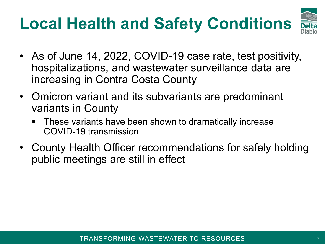# **Local Health and Safety Conditions**



- As of June 14, 2022, COVID-19 case rate, test positivity, hospitalizations, and wastewater surveillance data are increasing in Contra Costa County
- Omicron variant and its subvariants are predominant variants in County
	- **These variants have been shown to dramatically increase** COVID-19 transmission
- County Health Officer recommendations for safely holding public meetings are still in effect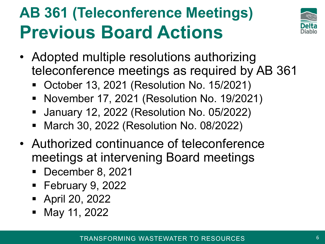# **AB 361 (Teleconference Meetings) Previous Board Actions**



- Adopted multiple resolutions authorizing teleconference meetings as required by AB 361
	- October 13, 2021 (Resolution No. 15/2021)
	- November 17, 2021 (Resolution No. 19/2021)
	- January 12, 2022 (Resolution No. 05/2022)
	- March 30, 2022 (Resolution No. 08/2022)
- Authorized continuance of teleconference meetings at intervening Board meetings
	- December 8, 2021
	- February 9, 2022
	- April 20, 2022
	- May 11, 2022